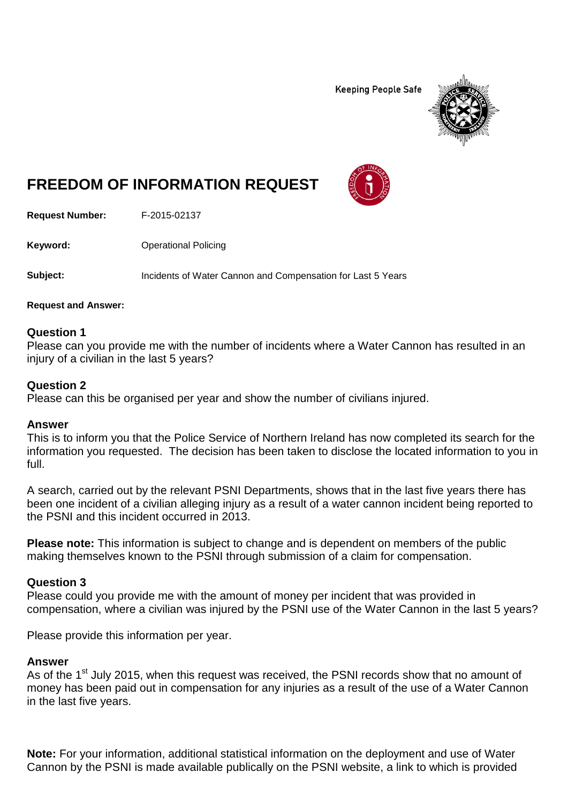**Keeping People Safe** 



# **FREEDOM OF INFORMATION REQUEST**

**Request Number:** F-2015-02137

**Keyword:** Operational Policing

**Subject:** Incidents of Water Cannon and Compensation for Last 5 Years

### **Request and Answer:**

## **Question 1**

Please can you provide me with the number of incidents where a Water Cannon has resulted in an injury of a civilian in the last 5 years?

## **Question 2**

Please can this be organised per year and show the number of civilians injured.

## **Answer**

This is to inform you that the Police Service of Northern Ireland has now completed its search for the information you requested. The decision has been taken to disclose the located information to you in full.

A search, carried out by the relevant PSNI Departments, shows that in the last five years there has been one incident of a civilian alleging injury as a result of a water cannon incident being reported to the PSNI and this incident occurred in 2013.

**Please note:** This information is subject to change and is dependent on members of the public making themselves known to the PSNI through submission of a claim for compensation.

## **Question 3**

Please could you provide me with the amount of money per incident that was provided in compensation, where a civilian was injured by the PSNI use of the Water Cannon in the last 5 years?

Please provide this information per year.

## **Answer**

As of the 1<sup>st</sup> July 2015, when this request was received, the PSNI records show that no amount of money has been paid out in compensation for any injuries as a result of the use of a Water Cannon in the last five years.

**Note:** For your information, additional statistical information on the deployment and use of Water Cannon by the PSNI is made available publically on the PSNI website, a link to which is provided